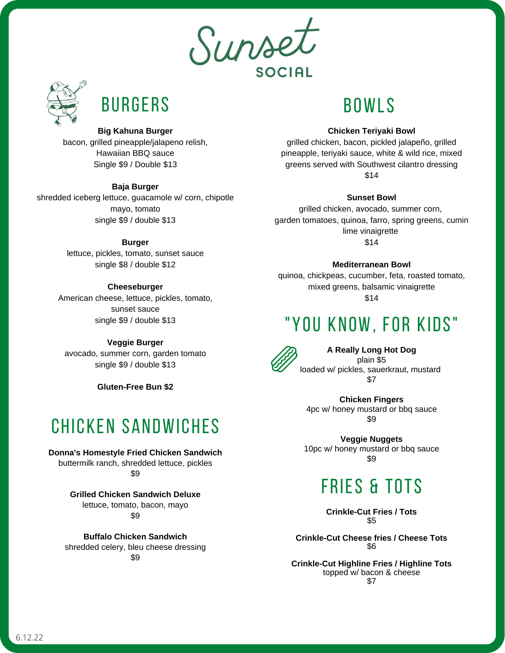Surse **SOCIAL** 



# **BURGERS**

#### **Big Kahuna Burger**

bacon, grilled pineapple/jalapeno relish, Hawaiian BBQ sauce Single \$9 / Double \$13

#### **Baja Burger**

shredded iceberg lettuce, guacamole w/ corn, chipotle mayo, tomato single \$9 / double \$13

#### **Burger**

lettuce, pickles, tomato, sunset sauce single \$8 / double \$12

#### **Cheeseburger**

American cheese, lettuce, pickles, tomato, sunset sauce single \$9 / double \$13

#### **Veggie Burger**

avocado, summer corn, garden tomato single \$9 / double \$13

**Gluten-Free Bun \$2**

### CHICKEN SANDWICHES

### **Donna's Homestyle Fried Chicken Sandwich**

buttermilk ranch, shredded lettuce, pickles \$9

> **Grilled Chicken Sandwich Deluxe** lettuce, tomato, bacon, mayo \$9

**Buffalo Chicken Sandwich** shredded celery, bleu cheese dressing \$9

### BOWLS

#### **Chicken Teriyaki Bowl**

grilled chicken, bacon, pickled jalapeño, grilled pineapple, teriyaki sauce, white & wild rice, mixed greens served with Southwest cilantro dressing \$14

#### **Sunset Bowl**

grilled chicken, avocado, summer corn, garden tomatoes, quinoa, farro, spring greens, cumin lime vinaigrette \$14

#### **Mediterranean Bowl**

quinoa, chickpeas, cucumber, feta, roasted tomato, mixed greens, balsamic vinaigrette \$14

### "YOU KNOW, FOR KIDS"



**A Really Long Hot Dog** plain \$5 loaded w/ pickles, sauerkraut, mustard \$7

**Chicken Fingers** 4pc w/ honey mustard or bbq sauce \$9

**Veggie Nuggets** 10pc w/ honey mustard or bbq sauce \$9

## FRIES & TOTS

**Crinkle-Cut Fries / Tots** \$5

**Crinkle-Cut Cheese fries / Cheese Tots** \$6

**Crinkle-Cut Highline Fries / Highline Tots** topped w/ bacon & cheese \$7